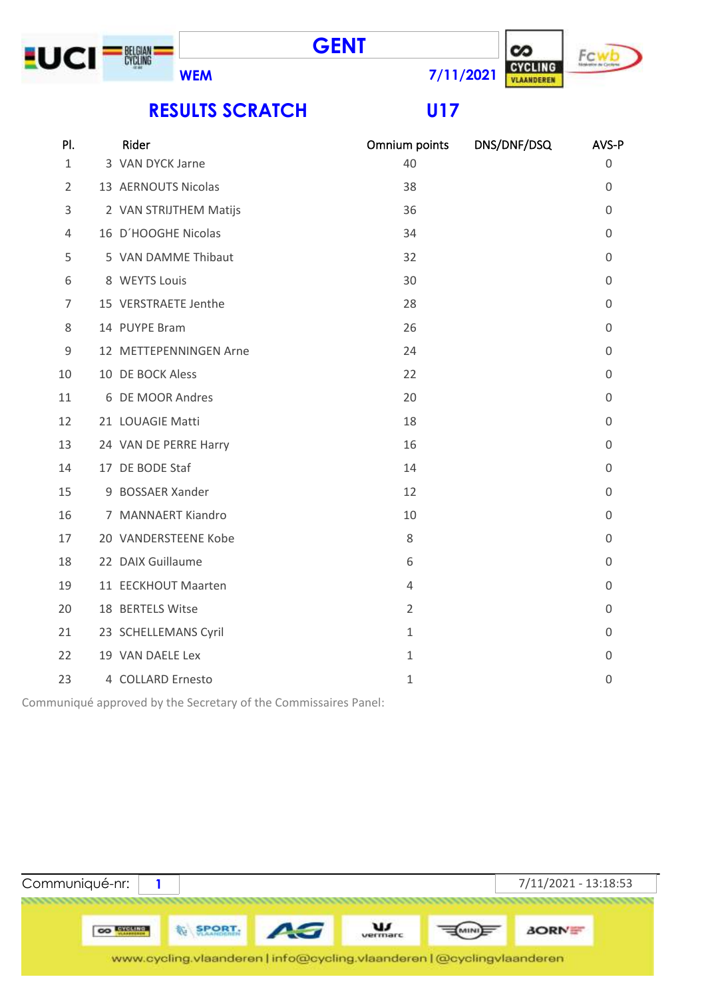





**RESULTS SCRATCH U17**

| PI.            | Rider                  | Omnium points  | DNS/DNF/DSQ | AVS-P            |
|----------------|------------------------|----------------|-------------|------------------|
| $\mathbf{1}$   | 3 VAN DYCK Jarne       | 40             |             | 0                |
| $\overline{2}$ | 13 AERNOUTS Nicolas    | 38             |             | 0                |
| 3              | 2 VAN STRIJTHEM Matijs | 36             |             | 0                |
| 4              | 16 D'HOOGHE Nicolas    | 34             |             | 0                |
| 5              | 5 VAN DAMME Thibaut    | 32             |             | 0                |
| 6              | 8 WEYTS Louis          | 30             |             | 0                |
| 7              | 15 VERSTRAETE Jenthe   | 28             |             | $\boldsymbol{0}$ |
| 8              | 14 PUYPE Bram          | 26             |             | 0                |
| $\mathsf 9$    | 12 METTEPENNINGEN Arne | 24             |             | 0                |
| 10             | 10 DE BOCK Aless       | 22             |             | $\mathbf 0$      |
| 11             | 6 DE MOOR Andres       | 20             |             | $\mathbf 0$      |
| 12             | 21 LOUAGIE Matti       | 18             |             | 0                |
| 13             | 24 VAN DE PERRE Harry  | 16             |             | 0                |
| 14             | 17 DE BODE Staf        | 14             |             | 0                |
| 15             | 9 BOSSAER Xander       | 12             |             | $\boldsymbol{0}$ |
| 16             | 7 MANNAERT Kiandro     | 10             |             | 0                |
| 17             | 20 VANDERSTEENE Kobe   | 8              |             | 0                |
| 18             | 22 DAIX Guillaume      | 6              |             | 0                |
| 19             | 11 EECKHOUT Maarten    | 4              |             | $\mathbf 0$      |
| 20             | 18 BERTELS Witse       | $\overline{2}$ |             | 0                |
| 21             | 23 SCHELLEMANS Cyril   | $\mathbf{1}$   |             | 0                |
| 22             | 19 VAN DAELE Lex       | $\mathbf{1}$   |             | 0                |
| 23             | 4 COLLARD Ernesto      | $\mathbf{1}$   |             | 0                |
|                |                        |                |             |                  |

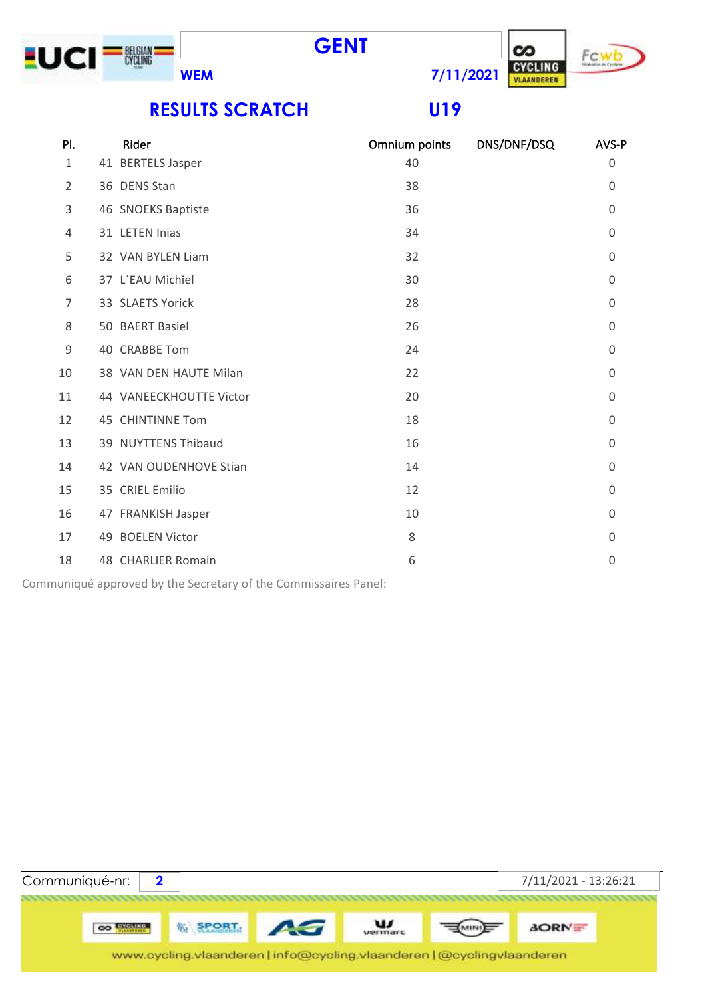





**RESULTS SCRATCH U19**

| PI. | Rider                   | Omnium points | DNS/DNF/DSQ | AVS-P          |
|-----|-------------------------|---------------|-------------|----------------|
| 1   | 41 BERTELS Jasper       | 40            |             | 0              |
| 2   | 36 DENS Stan            | 38            |             | $\Omega$       |
| 3   | 46 SNOEKS Baptiste      | 36            |             | $\Omega$       |
| 4   | 31 LETEN Inias          | 34            |             | 0              |
| 5   | 32 VAN BYLEN Liam       | 32            |             | 0              |
| 6   | 37 L'EAU Michiel        | 30            |             | $\Omega$       |
| 7   | 33 SLAETS Yorick        | 28            |             | $\Omega$       |
| 8   | 50 BAERT Basiel         | 26            |             | $\Omega$       |
| 9   | 40 CRABBE Tom           | 24            |             | 0              |
| 10  | 38 VAN DEN HAUTE Milan  | 22            |             | 0              |
| 11  | 44 VANEECKHOUTTE Victor | 20            |             | 0              |
| 12  | 45 CHINTINNE Tom        | 18            |             | $\overline{0}$ |
| 13  | 39 NUYTTENS Thibaud     | 16            |             | $\Omega$       |
| 14  | 42 VAN OUDENHOVE Stian  | 14            |             | 0              |
| 15  | 35 CRIEL Emilio         | 12            |             | 0              |
| 16  | 47 FRANKISH Jasper      | 10            |             | 0              |
| 17  | 49 BOELEN Victor        | 8             |             | $\mathbf 0$    |
| 18  | 48 CHARLIER Romain      | 6             |             | 0              |

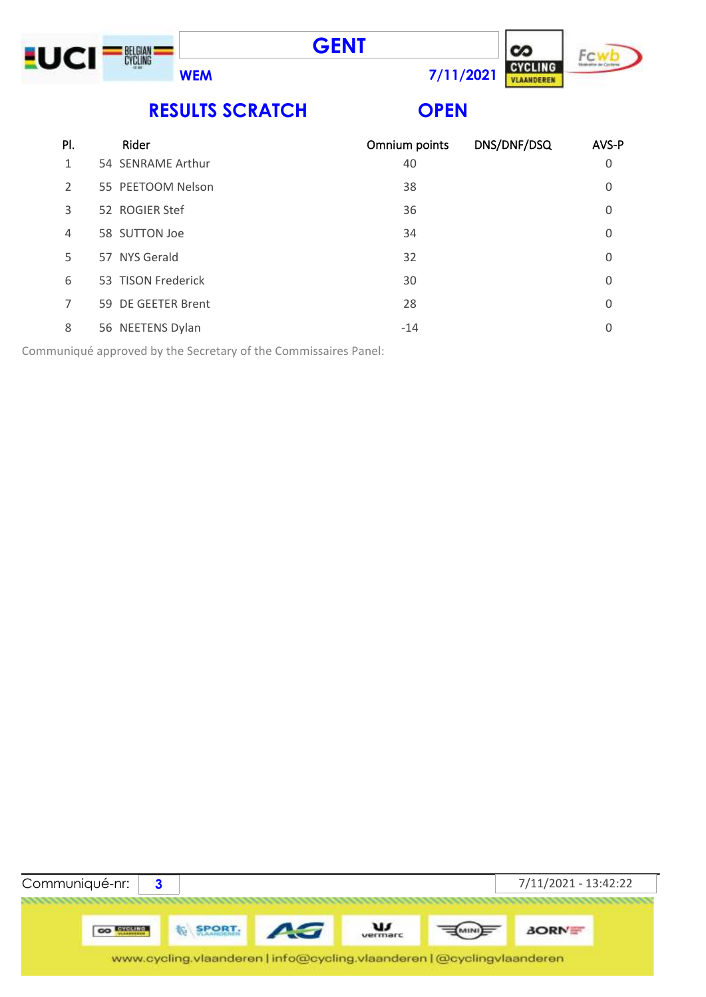





**RESULTS SCRATCH OPEN**

| PI.            | Rider              | Omnium points | DNS/DNF/DSQ | AVS-P    |
|----------------|--------------------|---------------|-------------|----------|
| 1              | 54 SENRAME Arthur  | 40            |             | 0        |
| $\overline{2}$ | 55 PEETOOM Nelson  | 38            |             | 0        |
| 3              | 52 ROGIER Stef     | 36            |             | 0        |
| 4              | 58 SUTTON Joe      | 34            |             | $\Omega$ |
| 5              | 57 NYS Gerald      | 32            |             | 0        |
| 6              | 53 TISON Frederick | 30            |             | $\Omega$ |
| 7              | 59 DE GEETER Brent | 28            |             | $\Omega$ |
| 8              | 56 NEETENS Dylan   | $-14$         |             | 0        |
|                |                    |               |             |          |

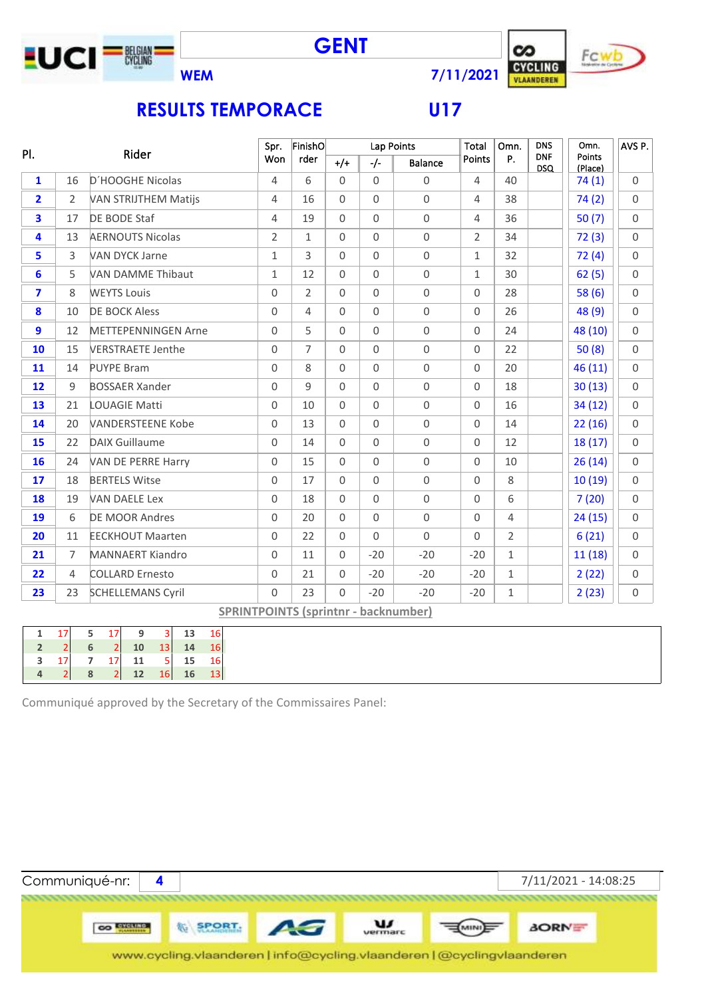







### **RESULTS TEMPORACE U17**

| PI.                     |                | Rider                       | Spr.                                        | FinishO        |             | Lap Points  |                     | Total          | Omn.           | <b>DNS</b>               | Omn.              | AVS P.      |
|-------------------------|----------------|-----------------------------|---------------------------------------------|----------------|-------------|-------------|---------------------|----------------|----------------|--------------------------|-------------------|-------------|
|                         |                |                             | Won                                         | rder           | $+/+$       | $-/-$       | Balance             | <b>Points</b>  | P.             | <b>DNF</b><br><b>DSQ</b> | Points<br>(Place) |             |
| $\mathbf{1}$            | 16             | D'HOOGHE Nicolas            | $\overline{4}$                              | 6              | $\mathbf 0$ | $\Omega$    | $\mathbf 0$         | $\overline{4}$ | 40             |                          | 74(1)             | $\Omega$    |
| $\overline{2}$          | 2              | <b>VAN STRIJTHEM Matijs</b> | 4                                           | 16             | $\Omega$    | $\mathbf 0$ | $\mathbf 0$         | 4              | 38             |                          | 74(2)             | $\Omega$    |
| $\overline{\mathbf{3}}$ | 17             | DE BODE Staf                | $\overline{4}$                              | 19             | $\mathbf 0$ | $\mathbf 0$ | $\mathbf 0$         | 4              | 36             |                          | 50(7)             | $\mathbf 0$ |
| 4                       | 13             | <b>AERNOUTS Nicolas</b>     | $\overline{2}$                              | $\mathbf{1}$   | $\Omega$    | $\mathbf 0$ | $\mathbf 0$         | $\overline{2}$ | 34             |                          | 72(3)             | $\Omega$    |
| 5                       | 3              | <b>VAN DYCK Jarne</b>       | 1                                           | 3              | $\Omega$    | $\Omega$    | $\mathbf 0$         | $\mathbf{1}$   | 32             |                          | 72(4)             | $\Omega$    |
| 6                       | 5              | <b>VAN DAMME Thibaut</b>    | 1                                           | 12             | $\mathbf 0$ | $\mathbf 0$ | $\mathbf 0$         | $\mathbf{1}$   | 30             |                          | 62(5)             | $\Omega$    |
| $\overline{\mathbf{z}}$ | 8              | <b>WEYTS Louis</b>          | 0                                           | $\overline{2}$ | $\Omega$    | $\Omega$    | $\mathbf 0$         | 0              | 28             |                          | 58(6)             | $\Omega$    |
| 8                       | 10             | <b>DE BOCK Aless</b>        | 0                                           | $\overline{4}$ | $\mathbf 0$ | 0           | $\mathbf 0$         | $\Omega$       | 26             |                          | 48 (9)            | $\Omega$    |
| 9                       | 12             | <b>METTEPENNINGEN Arne</b>  | 0                                           | 5              | 0           | 0           | $\mathsf{O}\xspace$ | $\mathbf 0$    | 24             |                          | 48 (10)           | $\Omega$    |
| 10                      | 15             | <b>VERSTRAETE Jenthe</b>    | $\Omega$                                    | $\overline{7}$ | $\Omega$    | $\Omega$    | $\mathbf 0$         | $\Omega$       | 22             |                          | 50(8)             | $\mathbf 0$ |
| 11                      | 14             | <b>PUYPE Bram</b>           | 0                                           | 8              | $\mathbf 0$ | $\Omega$    | $\mathsf{O}\xspace$ | $\mathbf 0$    | 20             |                          | 46 (11)           | $\Omega$    |
| 12                      | 9              | <b>BOSSAER Xander</b>       | 0                                           | 9              | $\Omega$    | $\Omega$    | $\mathbf 0$         | $\Omega$       | 18             |                          | 30(13)            | $\Omega$    |
| 13                      | 21             | <b>LOUAGIE Matti</b>        | $\mathbf 0$                                 | 10             | $\mathbf 0$ | $\mathbf 0$ | $\mathsf{O}\xspace$ | $\mathbf 0$    | 16             |                          | 34(12)            | $\Omega$    |
| 14                      | 20             | <b>VANDERSTEENE Kobe</b>    | 0                                           | 13             | $\Omega$    | $\Omega$    | $\mathbf 0$         | $\Omega$       | 14             |                          | 22(16)            | $\Omega$    |
| 15                      | 22             | <b>DAIX Guillaume</b>       | 0                                           | 14             | $\Omega$    | $\Omega$    | $\mathbf 0$         | $\Omega$       | 12             |                          | 18(17)            | $\Omega$    |
| 16                      | 24             | VAN DE PERRE Harry          | 0                                           | 15             | $\mathbf 0$ | $\mathbf 0$ | $\mathbf 0$         | $\mathbf 0$    | 10             |                          | 26(14)            | $\Omega$    |
| 17                      | 18             | <b>BERTELS Witse</b>        | $\Omega$                                    | 17             | $\Omega$    | $\Omega$    | $\mathbf 0$         | $\Omega$       | 8              |                          | 10(19)            | $\Omega$    |
| 18                      | 19             | <b>VAN DAELE Lex</b>        | 0                                           | 18             | $\mathbf 0$ | $\mathbf 0$ | $\mathbf 0$         | $\Omega$       | 6              |                          | 7(20)             | $\Omega$    |
| 19                      | 6              | <b>DE MOOR Andres</b>       | 0                                           | 20             | $\mathbf 0$ | 0           | $\mathsf{O}\xspace$ | $\Omega$       | 4              |                          | 24(15)            | $\Omega$    |
| 20                      | 11             | <b>EECKHOUT Maarten</b>     | $\Omega$                                    | 22             | $\Omega$    | $\Omega$    | $\mathbf 0$         | $\Omega$       | $\overline{2}$ |                          | 6(21)             | $\Omega$    |
| 21                      | $\overline{7}$ | <b>MANNAERT Kiandro</b>     | $\Omega$                                    | 11             | $\mathbf 0$ | $-20$       | $-20$               | $-20$          | $\mathbf{1}$   |                          | 11(18)            | $\mathbf 0$ |
| 22                      | $\overline{4}$ | <b>COLLARD Ernesto</b>      | $\mathbf 0$                                 | 21             | $\mathbf 0$ | $-20$       | $-20$               | $-20$          | $\mathbf{1}$   |                          | 2(22)             | $\mathbf 0$ |
| 23                      | 23             | <b>SCHELLEMANS Cyril</b>    | $\Omega$                                    | 23             | $\Omega$    | $-20$       | $-20$               | $-20$          | $\mathbf{1}$   |                          | 2(23)             | $\mathbf 0$ |
|                         |                |                             | <b>SPRINTPOINTS (sprintnr - backnumber)</b> |                |             |             |                     |                |                |                          |                   |             |

| 17 | 5 <sub>5</sub> | 17                                               |                                                 | $9 \t3 \t13 \t16$ |  |
|----|----------------|--------------------------------------------------|-------------------------------------------------|-------------------|--|
|    |                | $\begin{array}{c c} 6 & 2 \\ 7 & 17 \end{array}$ | 2 10 13 14 16<br>17 11 5 15 16<br>2 12 16 16 13 |                   |  |
| 17 |                |                                                  |                                                 |                   |  |
|    |                |                                                  |                                                 |                   |  |

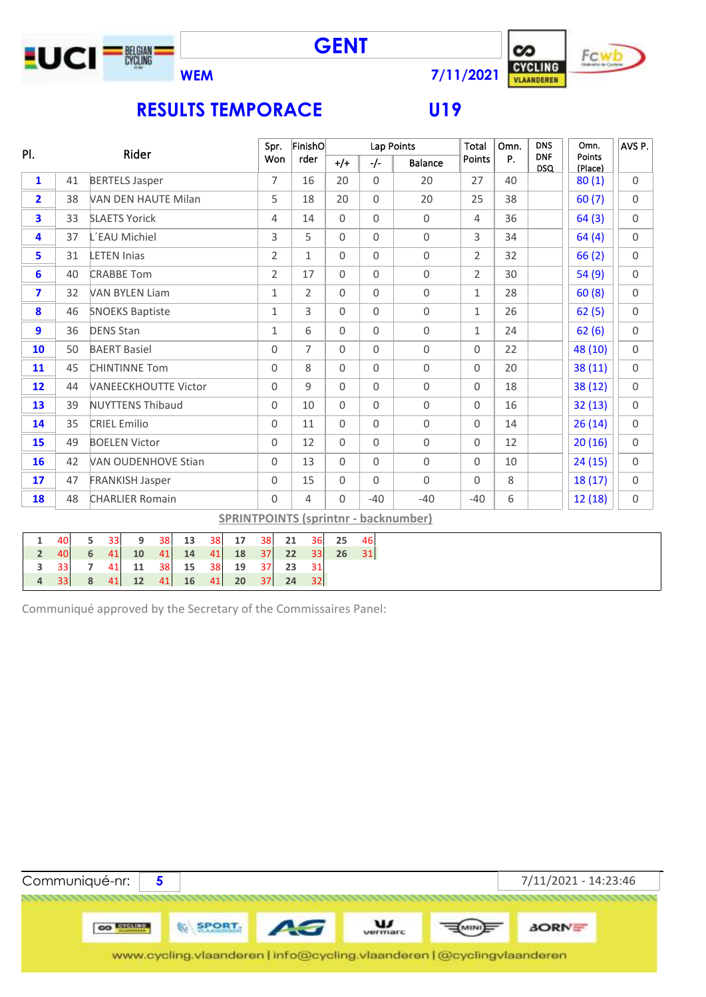







# **RESULTS TEMPORACE U19**

|                         | PI.<br>Rider |                     |                     |                             | Spr.     |          | FinishO  |          |                     | Lap Points | Total          | Omn.                | <b>DNS</b>          | Omn.                                        | AVS P.         |    |                          |                   |                     |
|-------------------------|--------------|---------------------|---------------------|-----------------------------|----------|----------|----------|----------|---------------------|------------|----------------|---------------------|---------------------|---------------------------------------------|----------------|----|--------------------------|-------------------|---------------------|
|                         |              |                     |                     |                             |          |          |          |          | Won                 |            | rder           | $+/+$               | $-/-$               | Balance                                     | <b>Points</b>  | Ρ. | <b>DNF</b><br><b>DSQ</b> | Points<br>(Place) |                     |
| $\mathbf{1}$            | 41           |                     |                     | <b>BERTELS Jasper</b>       |          |          |          |          | 7                   |            | 16             | 20                  | $\mathbf 0$         | 20                                          | 27             | 40 |                          | 80(1)             | $\Omega$            |
| $\overline{2}$          | 38           |                     |                     | VAN DEN HAUTE Milan         |          |          |          |          | 5                   |            | 18             | 20                  | $\mathsf{O}\xspace$ | 20                                          | 25             | 38 |                          | 60(7)             | $\mathbf 0$         |
| $\overline{\mathbf{3}}$ | 33           |                     |                     | <b>SLAETS Yorick</b>        |          |          |          |          | $\overline{4}$      |            | 14             | $\mathsf{O}\xspace$ | $\mathbf 0$         | $\mathbf 0$                                 | $\overline{4}$ | 36 |                          | 64(3)             | $\mathsf{O}\xspace$ |
| 4                       | 37           |                     |                     | L'EAU Michiel               |          |          |          |          | 3                   |            | 5              | $\Omega$            | $\Omega$            | $\mathbf 0$                                 | 3              | 34 |                          | 64(4)             | $\Omega$            |
| 5                       | 31           |                     | <b>LETEN Inias</b>  |                             |          |          |          |          | $\overline{2}$      |            | $\mathbf{1}$   | $\mathsf 0$         | $\mathsf{O}\xspace$ | $\mathsf{O}\xspace$                         | $\overline{2}$ | 32 |                          | 66(2)             | $\mathbf 0$         |
| 6                       | 40           |                     |                     | <b>CRABBE Tom</b>           |          |          |          |          | $\overline{2}$      |            | 17             | $\mathsf 0$         | $\mathsf{O}\xspace$ | $\mathbf 0$                                 | $\overline{2}$ | 30 |                          | 54(9)             | $\mathbf 0$         |
| $\overline{\mathbf{z}}$ | 32           |                     |                     | <b>VAN BYLEN Liam</b>       |          |          |          |          | $\mathbf{1}$        |            | $\overline{2}$ | $\mathbf 0$         | $\overline{0}$      | $\mathsf{O}\xspace$                         | $\mathbf{1}$   | 28 |                          | 60(8)             | $\mathbf 0$         |
| 8                       | 46           |                     |                     | <b>SNOEKS Baptiste</b>      |          |          |          |          | $\mathbf 1$         |            | 3              | $\mathbf 0$         | $\mathsf{O}\xspace$ | $\mathsf{O}\xspace$                         | $\mathbf{1}$   | 26 |                          | 62(5)             | $\mathsf{O}\xspace$ |
| 9                       | 36           |                     | <b>DENS Stan</b>    |                             |          |          |          |          | $\mathbf{1}$        |            | 6              | $\mathbf 0$         | $\mathsf{O}\xspace$ | $\mathsf{O}\xspace$                         | $\mathbf{1}$   | 24 |                          | 62(6)             | $\mathsf{O}\xspace$ |
| 10                      | 50           |                     |                     | <b>BAERT Basiel</b>         |          |          |          |          | 0                   |            | $\overline{7}$ | $\mathbf 0$         | $\mathbf 0$         | $\mathbf 0$                                 | 0              | 22 |                          | 48 (10)           | $\mathsf{O}\xspace$ |
| 11                      | 45           |                     |                     | <b>CHINTINNE Tom</b>        |          |          |          |          | 0                   |            | 8              | $\mathbf 0$         | $\mathbf 0$         | $\mathbf 0$                                 | $\Omega$       | 20 |                          | 38 (11)           | $\Omega$            |
| 12                      | 44           |                     |                     | <b>VANEECKHOUTTE Victor</b> |          |          |          |          | 0                   |            | 9              | $\mathsf 0$         | $\mathsf{O}\xspace$ | $\mathsf{O}\xspace$                         | 0              | 18 |                          | 38 (12)           | $\mathsf{O}\xspace$ |
| 13                      | 39           |                     |                     | <b>NUYTTENS Thibaud</b>     |          |          |          |          | $\mathsf{O}\xspace$ |            | 10             | $\mathbf 0$         | $\mathbf 0$         | $\mathbf 0$                                 | 0              | 16 |                          | 32(13)            | $\mathbf 0$         |
| 14                      | 35           |                     | <b>CRIEL Emilio</b> |                             |          |          |          |          | $\mathbf 0$         |            | 11             | $\Omega$            | $\Omega$            | $\mathbf 0$                                 | $\Omega$       | 14 |                          | 26(14)            | $\Omega$            |
| 15                      | 49           |                     |                     | <b>BOELEN Victor</b>        |          |          |          |          | 0                   |            | 12             | $\Omega$            | $\mathbf 0$         | $\mathbf 0$                                 | $\mathbf 0$    | 12 |                          | 20(16)            | $\Omega$            |
| 16                      | 42           |                     |                     | <b>VAN OUDENHOVE Stian</b>  |          |          |          |          | $\mathsf{O}\xspace$ |            | 13             | $\mathsf{O}\xspace$ | $\mathsf{O}\xspace$ | $\mathsf{O}\xspace$                         | 0              | 10 |                          | 24(15)            | $\mathsf{O}\xspace$ |
| 17                      | 47           |                     |                     | <b>FRANKISH Jasper</b>      |          |          |          |          | $\mathsf{O}\xspace$ |            | 15             | $\mathsf{O}\xspace$ | $\mathsf{O}\xspace$ | $\mathbf 0$                                 | $\Omega$       | 8  |                          | 18(17)            | $\mathsf{O}\xspace$ |
| 18                      | 48           |                     |                     | <b>CHARLIER Romain</b>      |          |          |          |          | $\overline{0}$      |            | $\overline{4}$ | $\mathbf 0$         | $-40$               | $-40$                                       | $-40$          | 6  |                          | 12(18)            | $\mathsf{O}\xspace$ |
|                         |              |                     |                     |                             |          |          |          |          |                     |            |                |                     |                     | <b>SPRINTPOINTS (sprintnr - backnumber)</b> |                |    |                          |                   |                     |
| $\mathbf 1$             | 40           | 5                   | 33                  | $9\,$                       | 38       | 13       | 38       | 17       | 38                  | 21         | 36             | 25                  | 46                  |                                             |                |    |                          |                   |                     |
| $\overline{2}$          | 40           | $\boldsymbol{6}$    | 41                  | 10                          | 41       | 14       | 41       | 18       | 37                  | 22         | 33             | 26                  | 31                  |                                             |                |    |                          |                   |                     |
|                         |              |                     |                     |                             |          |          |          |          |                     |            |                |                     |                     |                                             |                |    |                          |                   |                     |
| 3<br>4                  | 33<br>33     | $\overline{7}$<br>8 | 41<br>41            | 11<br>12                    | 38<br>41 | 15<br>16 | 38<br>41 | 19<br>20 | 37<br>37            | 23<br>24   | 31<br>32       |                     |                     |                                             |                |    |                          |                   |                     |

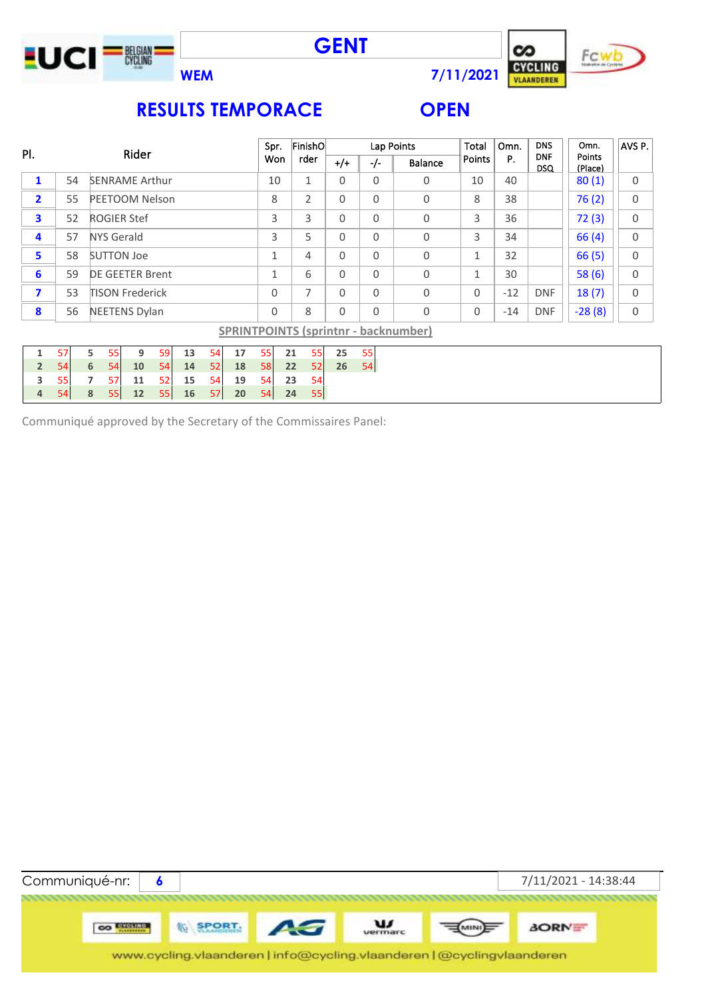





## **RESULTS TEMPORACE OPEN**

|                         | PI.<br>Rider |   |                   |                        |    |    |    | Spr. |              | FinishO |              |              | Lap Points | <b>Total</b>                                | Omn.          | <b>DNS</b> | Omn.                     | AVS P.            |             |
|-------------------------|--------------|---|-------------------|------------------------|----|----|----|------|--------------|---------|--------------|--------------|------------|---------------------------------------------|---------------|------------|--------------------------|-------------------|-------------|
|                         |              |   |                   |                        |    |    |    |      | Won          |         | rder         | $+/-$        | $-/-$      | <b>Balance</b>                              | <b>Points</b> | Р.         | <b>DNF</b><br><b>DSQ</b> | Points<br>(Place) |             |
| $\mathbf{1}$            | 54           |   |                   | <b>SENRAME Arthur</b>  |    |    |    |      | 10           |         | $\mathbf{1}$ | $\Omega$     | $\Omega$   | $\Omega$                                    | 10            | 40         |                          | 80(1)             | 0           |
| $\mathbf{2}$            | 55           |   |                   | <b>PEETOOM Nelson</b>  |    |    |    |      | 8            |         | 2            | $\mathbf{0}$ | $\Omega$   | 0                                           | 8             | 38         |                          | 76(2)             | 0           |
| 3                       | 52           |   |                   | <b>ROGIER Stef</b>     |    |    |    |      | 3            |         | 3            | $\Omega$     | $\Omega$   | $\Omega$                                    | 3             | 36         |                          | 72(3)             | $\mathbf 0$ |
| 4                       | 57           |   | <b>NYS Gerald</b> |                        |    |    |    |      | 3            |         | 5            | $\Omega$     | $\Omega$   | $\Omega$                                    | 3             | 34         |                          | 66(4)             | 0           |
| 5                       | 58           |   | <b>SUTTON Joe</b> |                        |    |    |    |      | $\mathbf{1}$ |         | 4            | $\mathbf{0}$ | $\Omega$   | 0                                           | $\mathbf{1}$  | 32         |                          | 66(5)             | 0           |
| 6                       | 59           |   |                   | <b>DE GEETER Brent</b> |    |    |    |      | $\mathbf{1}$ |         | 6            | $\Omega$     | $\Omega$   | 0                                           | $\mathbf{1}$  | 30         |                          | 58(6)             | 0           |
| $\overline{\mathbf{z}}$ | 53           |   |                   | <b>TISON Frederick</b> |    |    |    |      | $\Omega$     |         | 7            | $\Omega$     | $\Omega$   | 0                                           | $\Omega$      | $-12$      | <b>DNF</b>               | 18(7)             | 0           |
| $\boldsymbol{8}$        | 56           |   |                   | <b>NEETENS Dylan</b>   |    |    |    |      | $\Omega$     |         | 8            | $\Omega$     | $\Omega$   | 0                                           | 0             | $-14$      | <b>DNF</b>               | $-28(8)$          | 0           |
|                         |              |   |                   |                        |    |    |    |      |              |         |              |              |            | <b>SPRINTPOINTS (sprintnr - backnumber)</b> |               |            |                          |                   |             |
| $\mathbf{1}$            | 57           | 5 | 55                | 9                      | 59 | 13 | 54 | 17   | 55           | 21      | 55           | 25           | 55         |                                             |               |            |                          |                   |             |
| $\overline{2}$          | 54           | 6 | 54                | 10                     | 54 | 14 | 52 | 18   | 58           | 22      | 52           | 26           | 54         |                                             |               |            |                          |                   |             |
| 3                       | 55           | 7 | 57                | 11                     | 52 | 15 | 54 | 19   | 54           | 23      | 54           |              |            |                                             |               |            |                          |                   |             |
| 4                       | 54           | 8 | 55                | 12                     | 55 | 16 | 57 | 20   | 54           | 24      | 55           |              |            |                                             |               |            |                          |                   |             |

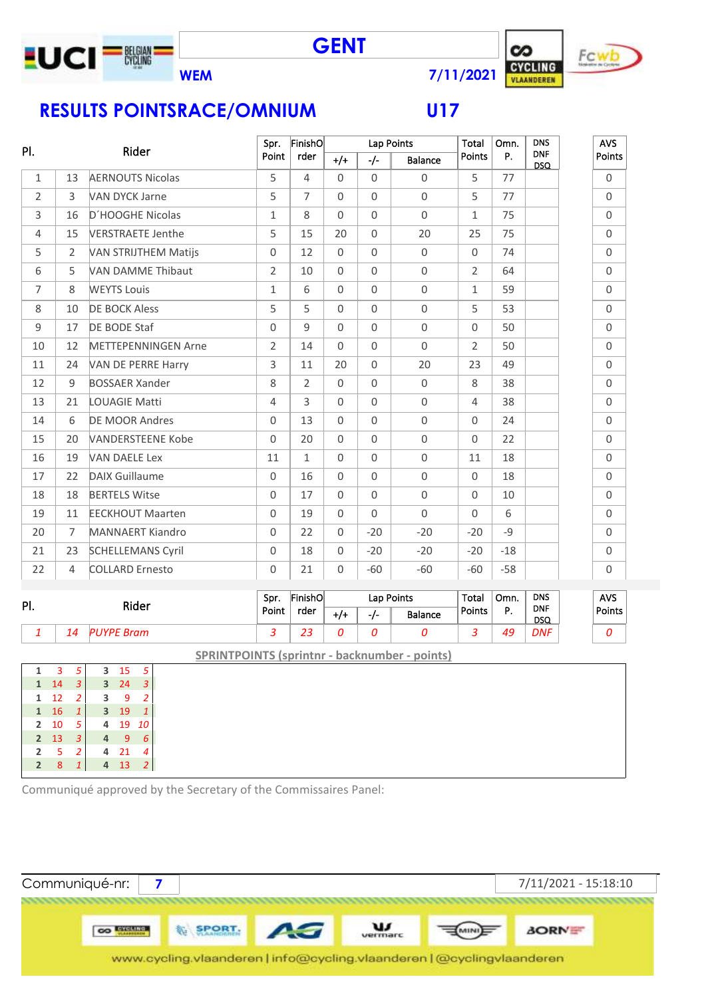

## **RESULTS POINTSRACE/OMNIUM U17**

|                |                |                             | Spr.           | FinishO        |             | Lap Points     |                | Total          | Omn.  | <b>DNS</b>               | <b>AVS</b>     |
|----------------|----------------|-----------------------------|----------------|----------------|-------------|----------------|----------------|----------------|-------|--------------------------|----------------|
| PI.            |                | Rider                       | Point          | rder           | $+/-$       | $-/-$          | <b>Balance</b> | Points         | P.    | <b>DNF</b><br><b>DSQ</b> | Points         |
| 1              | 13             | <b>AERNOUTS Nicolas</b>     | 5              | 4              | $\Omega$    | $\Omega$       | $\Omega$       | 5              | 77    |                          | $\mathbf 0$    |
| $\overline{2}$ | 3              | VAN DYCK Jarne              | 5              | $\overline{7}$ | $\Omega$    | $\Omega$       | $\Omega$       | 5              | 77    |                          | $\Omega$       |
| $\mathsf{3}$   | 16             | D'HOOGHE Nicolas            | $\mathbf{1}$   | 8              | $\Omega$    | $\Omega$       | $\mathbf 0$    | $\mathbf{1}$   | 75    |                          | $\mathbf 0$    |
| $\overline{4}$ | 15             | <b>VERSTRAETE Jenthe</b>    | 5              | 15             | 20          | $\Omega$       | 20             | 25             | 75    |                          | $\mathbf 0$    |
| 5              | $\overline{2}$ | <b>VAN STRIJTHEM Matijs</b> | $\Omega$       | 12             | $\Omega$    | $\overline{0}$ | $\mathbf 0$    | $\mathbf 0$    | 74    |                          | $\mathbf 0$    |
| 6              | 5              | <b>VAN DAMME Thibaut</b>    | $\overline{2}$ | 10             | $\mathbf 0$ | $\Omega$       | $\mathbf 0$    | $\overline{2}$ | 64    |                          | $\mathbf 0$    |
| $\overline{7}$ | 8              | <b>WEYTS Louis</b>          | $\mathbf{1}$   | 6              | $\Omega$    | $\Omega$       | $\mathbf 0$    | $\mathbf 1$    | 59    |                          | $\mathbf 0$    |
| 8              | 10             | <b>DE BOCK Aless</b>        | 5              | 5              | $\Omega$    | $\Omega$       | $\mathbf 0$    | 5              | 53    |                          | $\mathbf 0$    |
| $\overline{9}$ | 17             | DE BODE Staf                | $\Omega$       | 9              | $\Omega$    | $\Omega$       | $\mathbf 0$    | $\Omega$       | 50    |                          | $\Omega$       |
| 10             | 12             | <b>METTEPENNINGEN Arne</b>  | $\overline{2}$ | 14             | $\Omega$    | $\Omega$       | $\mathbf 0$    | $\overline{2}$ | 50    |                          | $\mathbf 0$    |
| 11             | 24             | VAN DE PERRE Harry          | 3              | 11             | 20          | $\Omega$       | 20             | 23             | 49    |                          | $\mathbf 0$    |
| 12             | 9              | <b>BOSSAER Xander</b>       | 8              | $\overline{2}$ | $\Omega$    | 0              | $\mathbf 0$    | 8              | 38    |                          | $\mathbf 0$    |
| 13             | 21             | <b>LOUAGIE Matti</b>        | $\overline{4}$ | 3              | $\Omega$    | $\Omega$       | $\Omega$       | $\overline{4}$ | 38    |                          | $\mathbf 0$    |
| 14             | 6              | <b>DE MOOR Andres</b>       | $\Omega$       | 13             | $\Omega$    | $\Omega$       | $\mathbf 0$    | $\Omega$       | 24    |                          | $\overline{0}$ |
| 15             | 20             | <b>VANDERSTEENE Kobe</b>    | $\Omega$       | 20             | $\Omega$    | $\Omega$       | $\mathbf 0$    | $\Omega$       | 22    |                          | $\mathbf 0$    |
| 16             | 19             | <b>VAN DAELE Lex</b>        | 11             | $\mathbf{1}$   | $\Omega$    | $\Omega$       | $\mathbf 0$    | 11             | 18    |                          | $\mathbf 0$    |
| 17             | 22             | <b>DAIX Guillaume</b>       | $\Omega$       | 16             | $\Omega$    | $\Omega$       | $\mathbf 0$    | $\Omega$       | 18    |                          | $\mathbf 0$    |
| 18             | 18             | <b>BERTELS Witse</b>        | $\Omega$       | 17             | $\Omega$    | $\Omega$       | $\mathbf 0$    | $\mathbf 0$    | 10    |                          | $\mathbf 0$    |
| 19             | 11             | <b>EECKHOUT Maarten</b>     | $\Omega$       | 19             | $\Omega$    | $\Omega$       | $\mathbf 0$    | $\Omega$       | 6     |                          | $\mathbf 0$    |
| 20             | $\overline{7}$ | <b>MANNAERT Kiandro</b>     | $\mathbf 0$    | 22             | $\Omega$    | $-20$          | $-20$          | $-20$          | $-9$  |                          | $\mathbf 0$    |
| 21             | 23             | <b>SCHELLEMANS Cyril</b>    | $\Omega$       | 18             | $\Omega$    | $-20$          | $-20$          | $-20$          | $-18$ |                          | $\mathbf 0$    |
| 22             | 4              | <b>COLLARD Ernesto</b>      | 0              | 21             | $\mathbf 0$ | $-60$          | $-60$          | $-60$          | $-58$ |                          | $\mathbf 0$    |
|                |                |                             | Spr.           | FinishO        |             | Lap Points     |                | Total          | Omn.  | <b>DNS</b>               | <b>AVS</b>     |
| PI.            |                | Rider                       | Doint.         | <b>Edor</b>    |             |                |                | <b>Dointe</b>  | D.    | <b>DNF</b>               | Dointe.        |

| PI. | Rider      | Spr.  | FinishO |     | Lap Points     | Total         | Omn. | <b>DNS</b>               | <b>AVS</b> |
|-----|------------|-------|---------|-----|----------------|---------------|------|--------------------------|------------|
|     |            | Point | rder    | -1- | <b>Balance</b> | <b>Points</b> |      | <b>DNF</b><br><b>DSQ</b> | Points     |
|     | 14<br>Bram |       | --      |     |                |               | 49   | <b>DNF</b>               |            |

**SPRINTPOINTS (sprintnr - backnumber - points)**

|                | з  | 5              | 3 | 15 | 5  |  |
|----------------|----|----------------|---|----|----|--|
| 1              | 14 | 3              | 3 | 24 |    |  |
| 1              | 12 | 2              | 3 | ٩  | 2  |  |
| $\mathbf{1}$   | 16 | 1              | 3 | 19 |    |  |
| 2              | 10 | 5 <sup>5</sup> | 4 | 19 | 10 |  |
| $\overline{2}$ | 13 | 3              | 4 | q  | 6  |  |
| $\overline{2}$ | 5  | 2              | 4 | 21 | 4  |  |
| $\overline{2}$ | 8  | 1              | 4 | 13 | 2  |  |

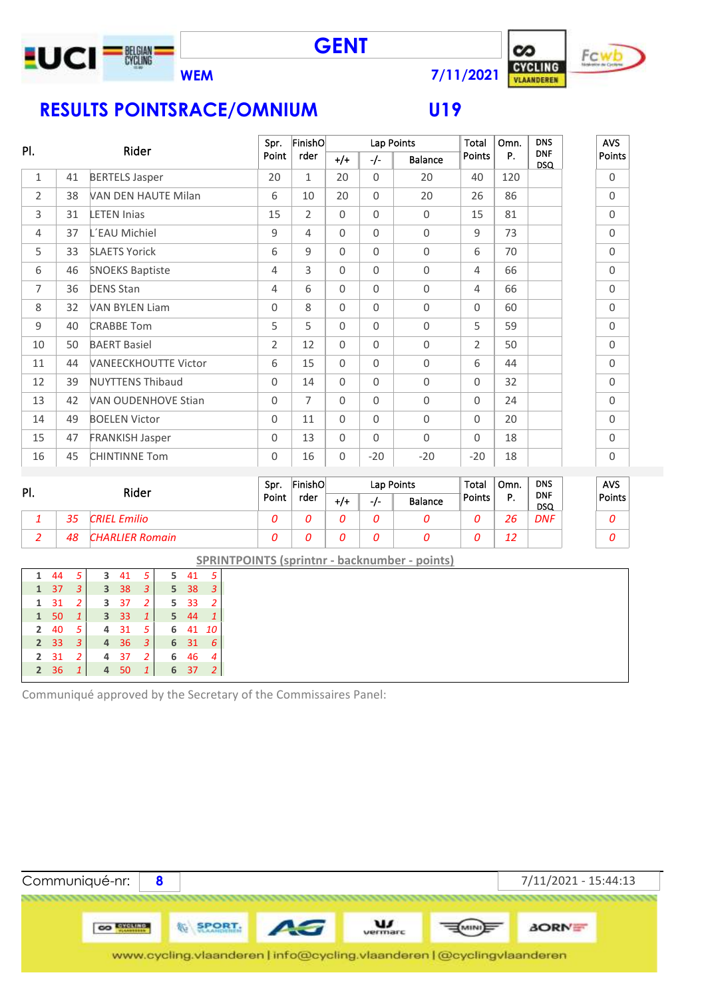

**GENT**



# **RESULTS POINTSRACE/OMNIUM U19**

| PI. |    | Rider                       | Spr.           | FinishO        |          |          | Lap Points | <b>Total</b>   | Omn. | <b>DNS</b>               | <b>AVS</b>          |
|-----|----|-----------------------------|----------------|----------------|----------|----------|------------|----------------|------|--------------------------|---------------------|
|     |    |                             | Point          | rder           | $^{+/+}$ | $-/-$    | Balance    | Points         | P.   | <b>DNF</b><br><b>DSQ</b> | Points              |
| 1   | 41 | <b>BERTELS Jasper</b>       | 20             | $\mathbf{1}$   | 20       | $\Omega$ | 20         | 40             | 120  |                          | $\mathbf 0$         |
| 2   | 38 | VAN DEN HAUTE Milan         | 6              | 10             | 20       | $\Omega$ | 20         | 26             | 86   |                          | $\mathbf 0$         |
| 3   | 31 | <b>LETEN Inias</b>          | 15             | $\overline{2}$ | $\Omega$ | $\Omega$ | $\Omega$   | 15             | 81   |                          | $\mathbf 0$         |
| 4   | 37 | L'EAU Michiel               | 9              | 4              | $\Omega$ | $\Omega$ | $\Omega$   | $\mathbf{q}$   | 73   |                          | $\mathbf 0$         |
| 5   | 33 | <b>SLAETS Yorick</b>        | 6              | 9              | $\Omega$ | $\Omega$ | $\Omega$   | 6              | 70   |                          | $\mathbf 0$         |
| 6   | 46 | <b>SNOEKS Baptiste</b>      | 4              | 3              | $\Omega$ | $\Omega$ | $\Omega$   | 4              | 66   |                          | $\mathsf{O}\xspace$ |
| 7   | 36 | <b>DENS Stan</b>            | 4              | 6              | $\Omega$ | $\Omega$ | $\Omega$   | 4              | 66   |                          | $\Omega$            |
| 8   | 32 | <b>VAN BYLEN Liam</b>       | $\Omega$       | 8              | $\Omega$ | $\Omega$ | $\Omega$   | $\Omega$       | 60   |                          | $\mathbf 0$         |
| 9   | 40 | <b>CRABBE Tom</b>           | 5              | 5              | $\Omega$ | $\Omega$ | $\Omega$   | 5              | 59   |                          | $\Omega$            |
| 10  | 50 | <b>BAERT Basiel</b>         | $\overline{2}$ | 12             | $\Omega$ | $\Omega$ | $\Omega$   | $\overline{2}$ | 50   |                          | $\mathsf{O}\xspace$ |
| 11  | 44 | <b>VANEECKHOUTTE Victor</b> | 6              | 15             | $\Omega$ | $\Omega$ | $\Omega$   | 6              | 44   |                          | $\mathbf 0$         |
| 12  | 39 | <b>NUYTTENS Thibaud</b>     | $\Omega$       | 14             | $\Omega$ | $\Omega$ | $\Omega$   | $\Omega$       | 32   |                          | $\mathbf 0$         |
| 13  | 42 | <b>VAN OUDENHOVE Stian</b>  | $\Omega$       | $\overline{7}$ | $\Omega$ | $\Omega$ | $\Omega$   | $\Omega$       | 24   |                          | $\mathsf{O}\xspace$ |
| 14  | 49 | <b>BOELEN Victor</b>        | $\Omega$       | 11             | $\Omega$ | $\Omega$ | $\Omega$   | $\Omega$       | 20   |                          | $\Omega$            |
| 15  | 47 | <b>FRANKISH Jasper</b>      | $\Omega$       | 13             | $\Omega$ | $\Omega$ | $\Omega$   | $\Omega$       | 18   |                          | $\mathsf{O}\xspace$ |
| 16  | 45 | <b>CHINTINNE Tom</b>        | 0              | 16             | $\Omega$ | $-20$    | $-20$      | $-20$          | 18   |                          | 0                   |
|     |    |                             |                |                |          |          |            |                |      |                          |                     |

| PI. |    | Rider               | Sor.  | FinishO |     |       | Lap Points     | Total  | Omn. | <b>DNS</b>               | <b>AVS</b> |
|-----|----|---------------------|-------|---------|-----|-------|----------------|--------|------|--------------------------|------------|
|     |    |                     | Point | rder    | +/+ | $-I-$ | <b>Balance</b> | Points | D    | <b>DNF</b><br><b>DSQ</b> | Points     |
|     | 35 | <b>CRIEL Emilio</b> |       |         |     |       |                |        | 26   | <b>DNF</b>               |            |
|     | 48 | CHARLIER Romain     |       |         |     |       |                |        | 12   |                          |            |

**SPRINTPOINTS (sprintnr - backnumber - points)**

|    |                                                                                            |                                                                |     | 3                                                 |                                  |      | $\overline{\phantom{a}}$ 3                                                                |
|----|--------------------------------------------------------------------------------------------|----------------------------------------------------------------|-----|---------------------------------------------------|----------------------------------|------|-------------------------------------------------------------------------------------------|
| 31 |                                                                                            |                                                                |     |                                                   |                                  |      |                                                                                           |
|    | $\mathbf{1}$                                                                               |                                                                |     | $\mathbf{1}$                                      |                                  |      |                                                                                           |
|    | -5                                                                                         | 4                                                              |     | -5                                                |                                  |      |                                                                                           |
|    | 3                                                                                          | $\overline{4}$                                                 | 36  | 3                                                 |                                  | 31   | 6                                                                                         |
|    | 2                                                                                          | 4                                                              | 37  | <sup>2</sup>                                      |                                  | 46 4 |                                                                                           |
|    | $\mathbf{1}$                                                                               | 4                                                              | -50 | $\mathbf{1}$                                      |                                  | 37   | 2                                                                                         |
|    | 1 37<br>$\mathbf{1}$<br>1 50<br>$2 \quad 40$<br>2 <sub>33</sub><br>2 31<br>2 <sup>36</sup> | 1 44 5<br>$\overline{\phantom{a}}$<br>$\overline{\phantom{a}}$ |     | 3 <sup>38</sup><br>3 37<br>3 <sup>3</sup><br>- 31 | $3 \t 41 \t 5$<br>$\overline{2}$ |      | $5\quad 41\quad 5$<br>5 <sup>38</sup><br>$5 \t33 \t2$<br>5 44 1<br>6 41 10<br>6<br>6<br>6 |